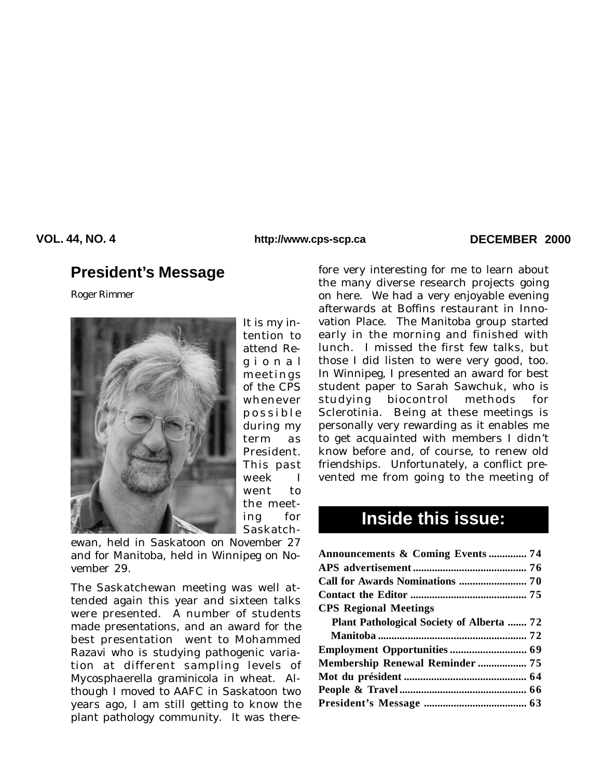**VOL. 44, NO. 4 DECEMBER 2000 http://www.cps-scp.ca**

## **President's Message**

*Roger Rimmer*



It is my intention to attend Regional meetings of the CPS whenever possible during my term as President. This past week I went to the meeting for Saskatch-

ewan, held in Saskatoon on November 27 and for Manitoba, held in Winnipeg on November 29.

The Saskatchewan meeting was well attended again this year and sixteen talks were presented. A number of students made presentations, and an award for the best presentation went to Mohammed Razavi who is studying pathogenic variation at different sampling levels of *Mycosphaerella graminicola* in wheat*.* Although I moved to AAFC in Saskatoon two years ago, I am still getting to know the plant pathology community. It was therefore very interesting for me to learn about the many diverse research projects going on here. We had a very enjoyable evening afterwards at Boffins restaurant in Innovation Place. The Manitoba group started early in the morning and finished with lunch. I missed the first few talks, but those I did listen to were very good, too. In Winnipeg, I presented an award for best student paper to Sarah Sawchuk, who is studying biocontrol methods for Sclerotinia. Being at these meetings is personally very rewarding as it enables me to get acquainted with members I didn't know before and, of course, to renew old friendships. Unfortunately, a conflict prevented me from going to the meeting of

# **Inside this issue:**

| <b>Announcements &amp; Coming Events  74</b> |  |
|----------------------------------------------|--|
|                                              |  |
|                                              |  |
|                                              |  |
| <b>CPS Regional Meetings</b>                 |  |
| Plant Pathological Society of Alberta  72    |  |
|                                              |  |
|                                              |  |
| Membership Renewal Reminder  75              |  |
|                                              |  |
|                                              |  |
|                                              |  |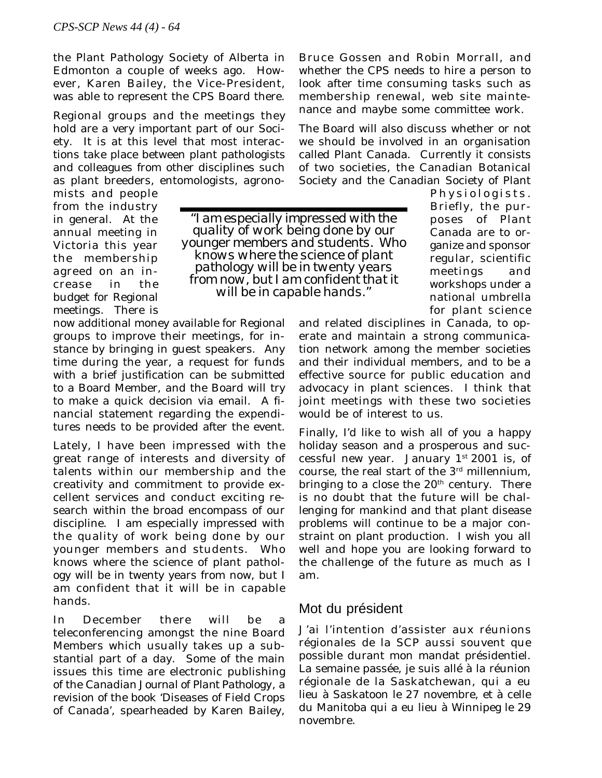the Plant Pathology Society of Alberta in Edmonton a couple of weeks ago. However, Karen Bailey, the Vice-President, was able to represent the CPS Board there.

Regional groups and the meetings they hold are a very important part of our Society. It is at this level that most interactions take place between plant pathologists and colleagues from other disciplines such as plant breeders, entomologists, agrono-

mists and people from the industry in general. At the annual meeting in Victoria this year the membership agreed on an increase in the budget for Regional meetings. There is

*"I am especially impressed with the quality of work being done by our younger members and students. Who knows where the science of plant pathology will be in twenty years from now, but I am confident that it will be in capable hands."*

now additional money available for Regional groups to improve their meetings, for instance by bringing in guest speakers. Any time during the year, a request for funds with a brief justification can be submitted to a Board Member, and the Board will try to make a quick decision via email. A financial statement regarding the expenditures needs to be provided after the event.

Lately, I have been impressed with the great range of interests and diversity of talents within our membership and the creativity and commitment to provide excellent services and conduct exciting research within the broad encompass of our discipline. I am especially impressed with the quality of work being done by our younger members and students. Who knows where the science of plant pathology will be in twenty years from now, but I am confident that it will be in capable hands.

In December there will be a teleconferencing amongst the nine Board Members which usually takes up a substantial part of a day. Some of the main issues this time are electronic publishing of the *Canadian Journal of Plant Pathology*, a revision of the book 'Diseases of Field Crops of Canada', spearheaded by Karen Bailey,

Bruce Gossen and Robin Morrall, and whether the CPS needs to hire a person to look after time consuming tasks such as membership renewal, web site maintenance and maybe some committee work.

The Board will also discuss whether or not we should be involved in an organisation called Plant Canada. Currently it consists of two societies, the Canadian Botanical Society and the Canadian Society of Plant

> Physiologists. Briefly, the purposes of Plant Canada are to organize and sponsor regular, scientific meetings and workshops under a national umbrella for plant science

and related disciplines in Canada, to operate and maintain a strong communication network among the member societies and their individual members, and to be a effective source for public education and advocacy in plant sciences. I think that joint meetings with these two societies would be of interest to us.

Finally, I'd like to wish all of you a happy holiday season and a prosperous and successful new year. January  $1^{st}$  2001 is, of course, the real start of the 3rd millennium, bringing to a close the  $20<sup>th</sup>$  century. There is no doubt that the future will be challenging for mankind and that plant disease problems will continue to be a major constraint on plant production. I wish you all well and hope you are looking forward to the challenge of the future as much as I am.

### Mot du président

J'ai l'intention d'assister aux réunions régionales de la SCP aussi souvent que possible durant mon mandat présidentiel. La semaine passée, je suis allé à la réunion régionale de la Saskatchewan, qui a eu lieu à Saskatoon le 27 novembre, et à celle du Manitoba qui a eu lieu à Winnipeg le 29 novembre.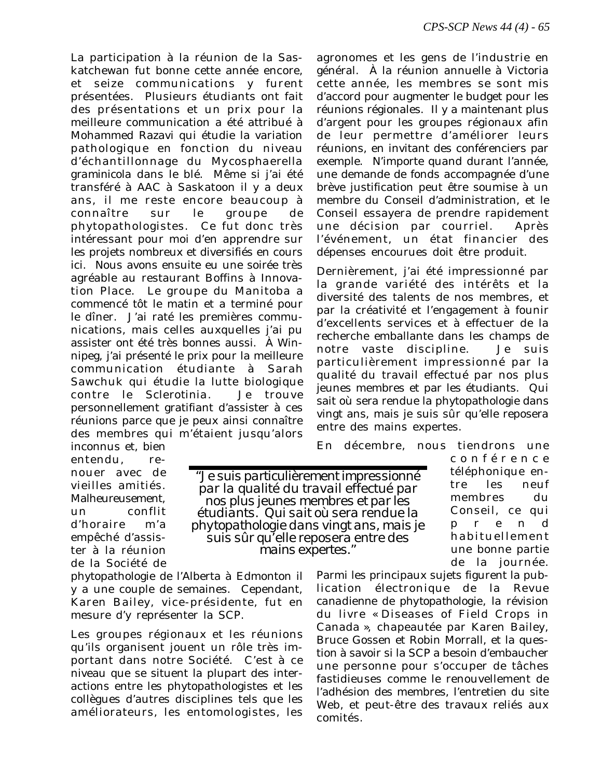La participation à la réunion de la Saskatchewan fut bonne cette année encore, et seize communications y furent présentées. Plusieurs étudiants ont fait des présentations et un prix pour la meilleure communication a été attribué à Mohammed Razavi qui étudie la variation pathologique en fonction du niveau d'échantillonnage du *Mycosphaerella graminicola* dans le blé*.* Même si j'ai été transféré à AAC à Saskatoon il y a deux ans, il me reste encore beaucoup à connaître sur le groupe de phytopathologistes. Ce fut donc très intéressant pour moi d'en apprendre sur les projets nombreux et diversifiés en cours ici. Nous avons ensuite eu une soirée très agréable au restaurant Boffins à Innovation Place. Le groupe du Manitoba a commencé tôt le matin et a terminé pour le dîner. J'ai raté les premières communications, mais celles auxquelles j'ai pu assister ont été très bonnes aussi. À Winnipeg, j'ai présenté le prix pour la meilleure communication étudiante à Sarah Sawchuk qui étudie la lutte biologique contre le *Sclerotinia*. Je trouve personnellement gratifiant d'assister à ces réunions parce que je peux ainsi connaître des membres qui m'étaient jusqu'alors

agronomes et les gens de l'industrie en général. À la réunion annuelle à Victoria cette année, les membres se sont mis d'accord pour augmenter le budget pour les réunions régionales. Il y a maintenant plus d'argent pour les groupes régionaux afin de leur permettre d'améliorer leurs réunions, en invitant des conférenciers par exemple. N'importe quand durant l'année, une demande de fonds accompagnée d'une brève justification peut être soumise à un membre du Conseil d'administration, et le Conseil essayera de prendre rapidement une décision par courriel. Après l'événement, un état financier des dépenses encourues doit être produit.

Dernièrement, j'ai été impressionné par la grande variété des intérêts et la diversité des talents de nos membres, et par la créativité et l'engagement à founir d'excellents services et à effectuer de la recherche emballante dans les champs de notre vaste discipline. Je suis particulièrement impressionné par la qualité du travail effectué par nos plus jeunes membres et par les étudiants. Qui sait où sera rendue la phytopathologie dans vingt ans, mais je suis sûr qu'elle reposera entre des mains expertes.

En décembre, nous tiendrons une

inconnus et, bien entendu, renouer avec de vieilles amitiés. Malheureusement, un conflit d'horaire m'a empêché d'assister à la réunion de la Société de

*"Je suis particulièrement impressionné par la qualité du travail effectué par nos plus jeunes membres et par les étudiants. Qui sait où sera rendue la phytopathologie dans vingt ans, mais je suis sûr qu'elle reposera entre des mains expertes."*

phytopathologie de l'Alberta à Edmonton il y a une couple de semaines. Cependant, Karen Bailey, vice-présidente, fut en mesure d'y représenter la SCP.

Les groupes régionaux et les réunions qu'ils organisent jouent un rôle très important dans notre Société. C'est à ce niveau que se situent la plupart des interactions entre les phytopathologistes et les collègues d'autres disciplines tels que les améliorateurs, les entomologistes, les conférence téléphonique entre les neuf membres du Conseil, ce qui prend habituellement une bonne partie de la journée.

Parmi les principaux sujets figurent la publication électronique de la *Revue canadienne de phytopathologie*, la révision du livre « Diseases of Field Crops in Canada », chapeautée par Karen Bailey, Bruce Gossen et Robin Morrall, et la question à savoir si la SCP a besoin d'embaucher une personne pour s'occuper de tâches fastidieuses comme le renouvellement de l'adhésion des membres, l'entretien du site Web, et peut-être des travaux reliés aux comités.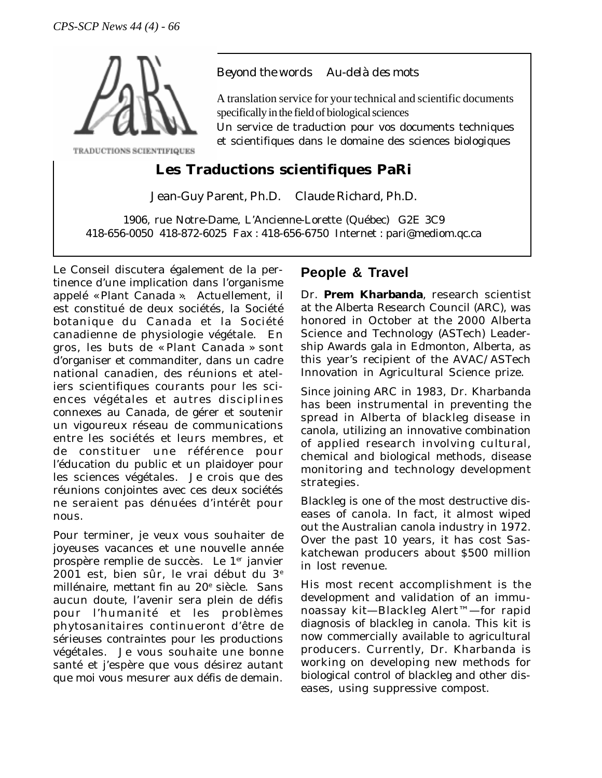

TRADUCTIONS SCIENTIFIQUES

### *Beyond the words Au-delà des mots*

A translation service for your technical and scientific documents specifically in the field of biological sciences

Un service de traduction pour vos documents techniques et scientifiques dans le domaine des sciences biologiques

## **Les Traductions scientifiques PaRi**

Jean-Guy Parent, Ph.D. Claude Richard, Ph.D.

1906, rue Notre-Dame, L'Ancienne-Lorette (Québec) G2E 3C9 418-656-0050 418-872-6025 Fax : 418-656-6750 Internet : pari@mediom.qc.ca

Le Conseil discutera également de la pertinence d'une implication dans l'organisme appelé « Plant Canada ». Actuellement, il est constitué de deux sociétés, la Société botanique du Canada et la Société canadienne de physiologie végétale. En gros, les buts de « Plant Canada » sont d'organiser et commanditer, dans un cadre national canadien, des réunions et ateliers scientifiques courants pour les sciences végétales et autres disciplines connexes au Canada, de gérer et soutenir un vigoureux réseau de communications entre les sociétés et leurs membres, et de constituer une référence pour l'éducation du public et un plaidoyer pour les sciences végétales. Je crois que des réunions conjointes avec ces deux sociétés ne seraient pas dénuées d'intérêt pour nous.

Pour terminer, je veux vous souhaiter de joyeuses vacances et une nouvelle année prospère remplie de succès. Le 1<sup>er</sup> janvier 2001 est, bien sûr, le vrai début du 3e millénaire, mettant fin au 20<sup>e</sup> siècle. Sans aucun doute, l'avenir sera plein de défis pour l'humanité et les problèmes phytosanitaires continueront d'être de sérieuses contraintes pour les productions végétales. Je vous souhaite une bonne santé et j'espère que vous désirez autant que moi vous mesurer aux défis de demain.

## **People & Travel**

Dr. **Prem Kharbanda**, research scientist at the Alberta Research Council (ARC), was honored in October at the 2000 Alberta Science and Technology (ASTech) Leadership Awards gala in Edmonton, Alberta, as this year's recipient of the AVAC/ASTech Innovation in Agricultural Science prize.

Since joining ARC in 1983, Dr. Kharbanda has been instrumental in preventing the spread in Alberta of blackleg disease in canola, utilizing an innovative combination of applied research involving cultural, chemical and biological methods, disease monitoring and technology development strategies.

Blackleg is one of the most destructive diseases of canola. In fact, it almost wiped out the Australian canola industry in 1972. Over the past 10 years, it has cost Saskatchewan producers about \$500 million in lost revenue.

His most recent accomplishment is the development and validation of an immunoassay kit—Blackleg Alert™—for rapid diagnosis of blackleg in canola. This kit is now commercially available to agricultural producers. Currently, Dr. Kharbanda is working on developing new methods for biological control of blackleg and other diseases, using suppressive compost.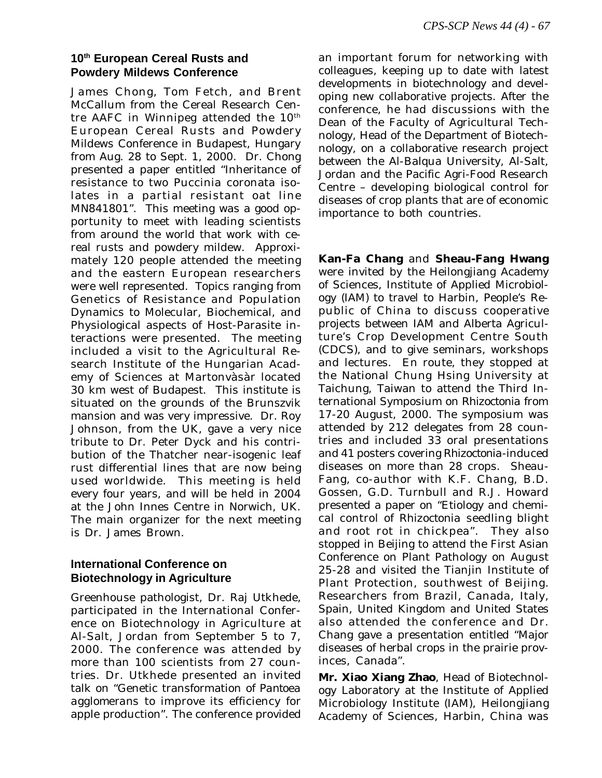## **10th European Cereal Rusts and Powdery Mildews Conference**

James Chong, Tom Fetch, and Brent McCallum from the Cereal Research Centre AAFC in Winnipeg attended the  $10<sup>th</sup>$ European Cereal Rusts and Powdery Mildews Conference in Budapest, Hungary from Aug. 28 to Sept. 1, 2000. Dr. Chong presented a paper entitled "Inheritance of resistance to two Puccinia coronata isolates in a partial resistant oat line MN841801". This meeting was a good opportunity to meet with leading scientists from around the world that work with cereal rusts and powdery mildew. Approximately 120 people attended the meeting and the eastern European researchers were well represented. Topics ranging from Genetics of Resistance and Population Dynamics to Molecular, Biochemical, and Physiological aspects of Host-Parasite interactions were presented. The meeting included a visit to the Agricultural Research Institute of the Hungarian Academy of Sciences at Martonvàsàr located 30 km west of Budapest. This institute is situated on the grounds of the Brunszvik mansion and was very impressive. Dr. Roy Johnson, from the UK, gave a very nice tribute to Dr. Peter Dyck and his contribution of the Thatcher near-isogenic leaf rust differential lines that are now being used worldwide. This meeting is held every four years, and will be held in 2004 at the John Innes Centre in Norwich, UK. The main organizer for the next meeting is Dr. James Brown.

## **International Conference on Biotechnology in Agriculture**

Greenhouse pathologist, Dr. Raj Utkhede, participated in the International Conference on Biotechnology in Agriculture at Al-Salt, Jordan from September 5 to 7, 2000. The conference was attended by more than 100 scientists from 27 countries. Dr. Utkhede presented an invited talk on "Genetic transformation of *Pantoea agglomerans* to improve its efficiency for apple production". The conference provided an important forum for networking with colleagues, keeping up to date with latest developments in biotechnology and developing new collaborative projects. After the conference, he had discussions with the Dean of the Faculty of Agricultural Technology, Head of the Department of Biotechnology, on a collaborative research project between the Al-Balqua University, Al-Salt, Jordan and the Pacific Agri-Food Research Centre – developing biological control for diseases of crop plants that are of economic importance to both countries.

**Kan-Fa Chang** and **Sheau-Fang Hwang** were invited by the Heilongjiang Academy of Sciences, Institute of Applied Microbiology (IAM) to travel to Harbin, People's Republic of China to discuss cooperative projects between IAM and Alberta Agriculture's Crop Development Centre South (CDCS), and to give seminars, workshops and lectures. En route, they stopped at the National Chung Hsing University at Taichung, Taiwan to attend the Third International Symposium on *Rhizoctonia* from 17-20 August, 2000. The symposium was attended by 212 delegates from 28 countries and included 33 oral presentations and 41 posters covering *Rhizoctonia*-induced diseases on more than 28 crops. Sheau-Fang, co-author with K.F. Chang, B.D. Gossen, G.D. Turnbull and R.J. Howard presented a paper on "Etiology and chemical control of *Rhizoctonia* seedling blight and root rot in chickpea". They also stopped in Beijing to attend the First Asian Conference on Plant Pathology on August 25-28 and visited the Tianjin Institute of Plant Protection, southwest of Beijing. Researchers from Brazil, Canada, Italy, Spain, United Kingdom and United States also attended the conference and Dr. Chang gave a presentation entitled "Major diseases of herbal crops in the prairie provinces, Canada".

**Mr. Xiao Xiang Zhao**, Head of Biotechnology Laboratory at the Institute of Applied Microbiology Institute (IAM), Heilongjiang Academy of Sciences, Harbin, China was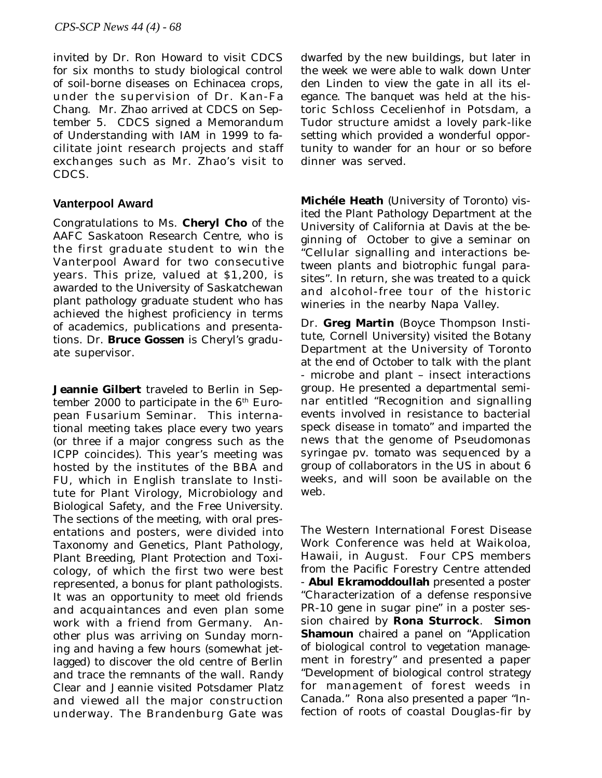invited by Dr. Ron Howard to visit CDCS for six months to study biological control of soil-borne diseases on *Echinacea* crops, under the supervision of Dr. Kan-Fa Chang. Mr. Zhao arrived at CDCS on September 5. CDCS signed a Memorandum of Understanding with IAM in 1999 to facilitate joint research projects and staff exchanges such as Mr. Zhao's visit to CDCS.

### **Vanterpool Award**

Congratulations to Ms. **Cheryl Cho** of the AAFC Saskatoon Research Centre, who is the first graduate student to win the Vanterpool Award for two consecutive years. This prize, valued at \$1,200, is awarded to the University of Saskatchewan plant pathology graduate student who has achieved the highest proficiency in terms of academics, publications and presentations. Dr. **Bruce Gossen** is Cheryl's graduate supervisor.

**Jeannie Gilbert** traveled to Berlin in September 2000 to participate in the  $6<sup>th</sup>$  European Fusarium Seminar. This international meeting takes place every two years (or three if a major congress such as the ICPP coincides). This year's meeting was hosted by the institutes of the BBA and FU, which in English translate to Institute for Plant Virology, Microbiology and Biological Safety, and the Free University. The sections of the meeting, with oral presentations and posters, were divided into Taxonomy and Genetics, Plant Pathology, Plant Breeding, Plant Protection and Toxicology, of which the first two were best represented, a bonus for plant pathologists. It was an opportunity to meet old friends and acquaintances and even plan some work with a friend from Germany. Another plus was arriving on Sunday morning and having a few hours (somewhat jetlagged) to discover the old centre of Berlin and trace the remnants of the wall. Randy Clear and Jeannie visited Potsdamer Platz and viewed all the major construction underway. The Brandenburg Gate was dwarfed by the new buildings, but later in the week we were able to walk down Unter den Linden to view the gate in all its elegance. The banquet was held at the historic Schloss Cecelienhof in Potsdam, a Tudor structure amidst a lovely park-like setting which provided a wonderful opportunity to wander for an hour or so before dinner was served.

**Michéle Heath** (University of Toronto) visited the Plant Pathology Department at the University of California at Davis at the beginning of October to give a seminar on "Cellular signalling and interactions between plants and biotrophic fungal parasites". In return, she was treated to a quick and alcohol-free tour of the historic wineries in the nearby Napa Valley.

Dr. **Greg Martin** (Boyce Thompson Institute, Cornell University) visited the Botany Department at the University of Toronto at the end of October to talk with the plant - microbe and plant – insect interactions group. He presented a departmental seminar entitled "Recognition and signalling events involved in resistance to bacterial speck disease in tomato" and imparted the news that the genome of *Pseudomonas syringae* pv. *tomato* was sequenced by a group of collaborators in the US in about 6 weeks, and will soon be available on the web.

The Western International Forest Disease Work Conference was held at Waikoloa, Hawaii, in August. Four CPS members from the Pacific Forestry Centre attended - **Abul Ekramoddoullah** presented a poster "Characterization of a defense responsive PR-10 gene in sugar pine" in a poster session chaired by **Rona Sturrock**. **Simon Shamoun** chaired a panel on "Application of biological control to vegetation management in forestry" and presented a paper "Development of biological control strategy for management of forest weeds in Canada." Rona also presented a paper "Infection of roots of coastal Douglas-fir by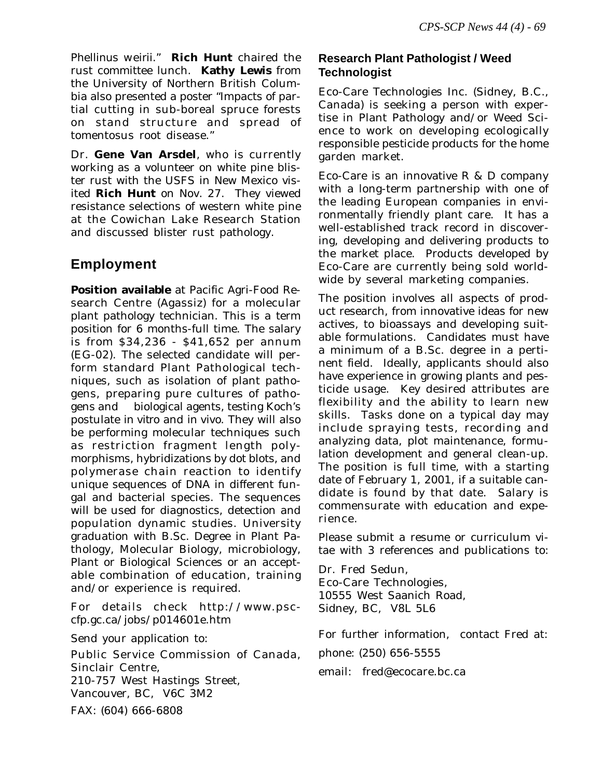*Phellinus weirii.*" **Rich Hunt** chaired the rust committee lunch. **Kathy Lewis** from the University of Northern British Columbia also presented a poster "Impacts of partial cutting in sub-boreal spruce forests on stand structure and spread of tomentosus root disease."

Dr. **Gene Van Arsdel**, who is currently working as a volunteer on white pine blister rust with the USFS in New Mexico visited **Rich Hunt** on Nov. 27. They viewed resistance selections of western white pine at the Cowichan Lake Research Station and discussed blister rust pathology.

## **Employment**

**Position available** at Pacific Agri-Food Research Centre (Agassiz) for a molecular plant pathology technician. This is a term position for 6 months-full time. The salary is from \$34,236 - \$41,652 per annum (EG-02). The selected candidate will perform standard Plant Pathological techniques, such as isolation of plant pathogens, preparing pure cultures of pathogens and biological agents, testing Koch's postulate *in vitro* and *in vivo*. They will also be performing molecular techniques such as restriction fragment length polymorphisms, hybridizations by dot blots, and polymerase chain reaction to identify unique sequences of DNA in different fungal and bacterial species. The sequences will be used for diagnostics, detection and population dynamic studies. University graduation with B.Sc. Degree in Plant Pathology, Molecular Biology, microbiology, Plant or Biological Sciences or an acceptable combination of education, training and/or experience is required.

For details check http://www.psccfp.gc.ca/jobs/p014601e.htm

Send your application to:

Public Service Commission of Canada, Sinclair Centre, 210-757 West Hastings Street, Vancouver, BC, V6C 3M2 FAX: (604) 666-6808

### **Research Plant Pathologist / Weed Technologist**

Eco-Care Technologies Inc. (Sidney, B.C., Canada) is seeking a person with expertise in Plant Pathology and/or Weed Science to work on developing ecologically responsible pesticide products for the home garden market.

Eco-Care is an innovative R & D company with a long-term partnership with one of the leading European companies in environmentally friendly plant care. It has a well-established track record in discovering, developing and delivering products to the market place. Products developed by Eco-Care are currently being sold worldwide by several marketing companies.

The position involves all aspects of product research, from innovative ideas for new actives, to bioassays and developing suitable formulations. Candidates must have a minimum of a B.Sc. degree in a pertinent field. Ideally, applicants should also have experience in growing plants and pesticide usage. Key desired attributes are flexibility and the ability to learn new skills. Tasks done on a typical day may include spraying tests, recording and analyzing data, plot maintenance, formulation development and general clean-up. The position is full time, with a starting date of February 1, 2001, if a suitable candidate is found by that date. Salary is commensurate with education and experience.

Please submit a resume or curriculum vitae with 3 references and publications to:

Dr. Fred Sedun, Eco-Care Technologies, 10555 West Saanich Road, Sidney, BC, V8L 5L6

For further information, contact Fred at:

phone: (250) 656-5555

email: fred@ecocare.bc.ca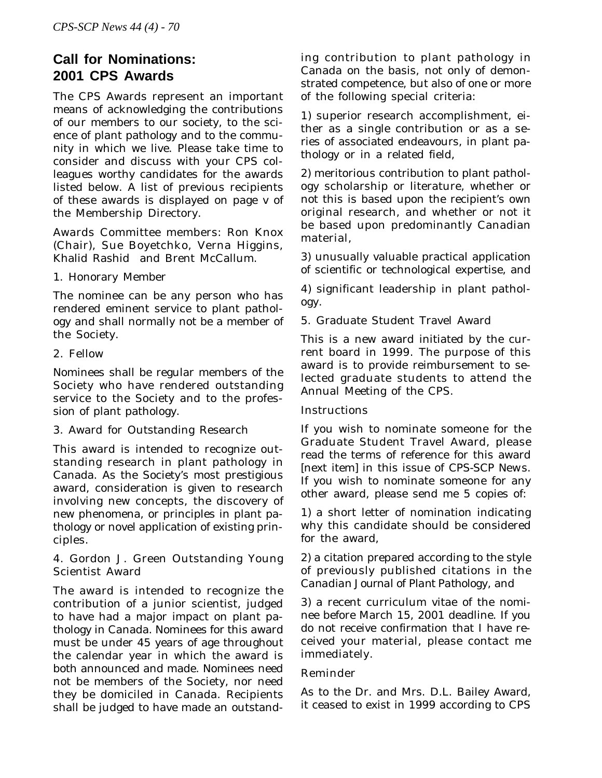## **Call for Nominations: 2001 CPS Awards**

The CPS Awards represent an important means of acknowledging the contributions of our members to our society, to the science of plant pathology and to the community in which we live. Please take time to consider and discuss with your CPS colleagues worthy candidates for the awards listed below. A list of previous recipients of these awards is displayed on page v of the Membership Directory.

Awards Committee members: Ron Knox (Chair), Sue Boyetchko, Verna Higgins, Khalid Rashid and Brent McCallum.

1. Honorary Member

The nominee can be any person who has rendered eminent service to plant pathology and shall normally not be a member of the Society.

2. Fellow

Nominees shall be regular members of the Society who have rendered outstanding service to the Society and to the profession of plant pathology.

3. Award for Outstanding Research

This award is intended to recognize outstanding research in plant pathology in Canada. As the Society's most prestigious award, consideration is given to research involving new concepts, the discovery of new phenomena, or principles in plant pathology or novel application of existing principles.

4. Gordon J. Green Outstanding Young Scientist Award

The award is intended to recognize the contribution of a junior scientist, judged to have had a major impact on plant pathology in Canada. Nominees for this award must be under 45 years of age throughout the calendar year in which the award is both announced and made. Nominees need not be members of the Society, nor need they be domiciled in Canada. Recipients shall be judged to have made an outstanding contribution to plant pathology in Canada on the basis, not only of demonstrated competence, but also of one or more of the following special criteria:

1) superior research accomplishment, either as a single contribution or as a series of associated endeavours, in plant pathology or in a related field,

2) meritorious contribution to plant pathology scholarship or literature, whether or not this is based upon the recipient's own original research, and whether or not it be based upon predominantly Canadian material,

3) unusually valuable practical application of scientific or technological expertise, and

4) significant leadership in plant pathology.

5. Graduate Student Travel Award

This is a new award initiated by the current board in 1999. The purpose of this award is to provide reimbursement to selected graduate students to attend the Annual Meeting of the CPS.

### Instructions

If you wish to nominate someone for the Graduate Student Travel Award, please read the terms of reference for this award [next item] in this issue of *CPS-SCP New*s. If you wish to nominate someone for any other award, please send me 5 copies of:

1) a short letter of nomination indicating why this candidate should be considered for the award,

2) a citation prepared according to the style of previously published citations in the *Canadian Journal of Plant Patholog*y, and

3) a recent curriculum vitae of the nominee before March 15, 2001 deadline. If you do not receive confirmation that I have received your material, please contact me immediately.

### Reminder

As to the Dr. and Mrs. D.L. Bailey Award, it ceased to exist in 1999 according to CPS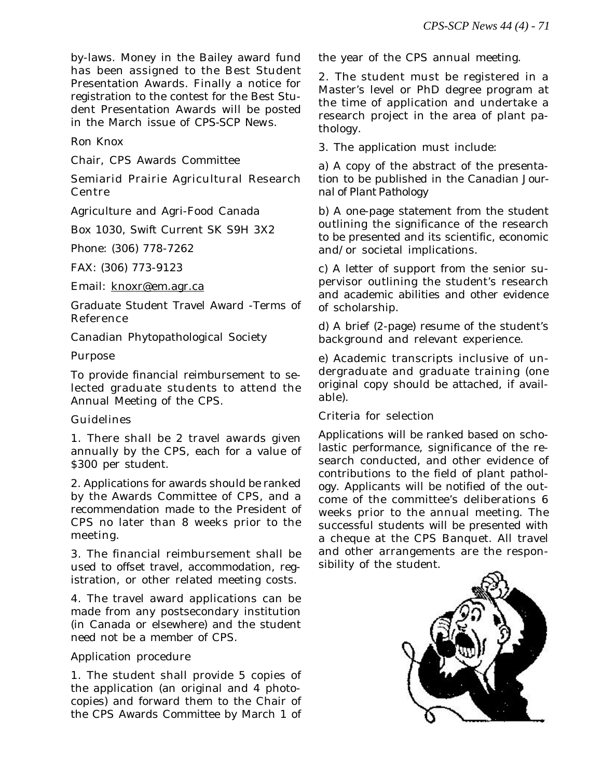by-laws. Money in the Bailey award fund has been assigned to the Best Student Presentation Awards. Finally a notice for registration to the contest for the Best Student Presentation Awards will be posted in the March issue of *CPS-SCP New*s.

Ron Knox

Chair, CPS Awards Committee

Semiarid Prairie Agricultural Research Centre

Agriculture and Agri-Food Canada

Box 1030, Swift Current SK S9H 3X2

Phone: (306) 778-7262

FAX: (306) 773-9123

Email: knoxr@em.agr.ca

Graduate Student Travel Award -Terms of Reference

Canadian Phytopathological Society

Purpose

To provide financial reimbursement to selected graduate students to attend the Annual Meeting of the CPS.

### Guidelines

1. There shall be 2 travel awards given annually by the CPS, each for a value of \$300 per student.

2. Applications for awards should be ranked by the Awards Committee of CPS, and a recommendation made to the President of CPS no later than 8 weeks prior to the meeting.

3. The financial reimbursement shall be used to offset travel, accommodation, registration, or other related meeting costs.

4. The travel award applications can be made from any postsecondary institution (in Canada or elsewhere) and the student need not be a member of CPS.

Application procedure

1. The student shall provide 5 copies of the application (an original and 4 photocopies) and forward them to the Chair of the CPS Awards Committee by March 1 of the year of the CPS annual meeting.

2. The student must be registered in a Master's level or PhD degree program at the time of application and undertake a research project in the area of plant pathology.

3. The application must include:

a) A copy of the abstract of the presentation to be published in the *Canadian Journal of Plant Patholog*y

b) A one-page statement from the student outlining the significance of the research to be presented and its scientific, economic and/or societal implications.

c) A letter of support from the senior supervisor outlining the student's research and academic abilities and other evidence of scholarship.

d) A brief (2-page) resume of the student's background and relevant experience.

e) Academic transcripts inclusive of undergraduate and graduate training (one original copy should be attached, if available).

Criteria for selection

Applications will be ranked based on scholastic performance, significance of the research conducted, and other evidence of contributions to the field of plant pathology. Applicants will be notified of the outcome of the committee's deliberations 6 weeks prior to the annual meeting. The successful students will be presented with a cheque at the CPS Banquet. All travel and other arrangements are the responsibility of the student.

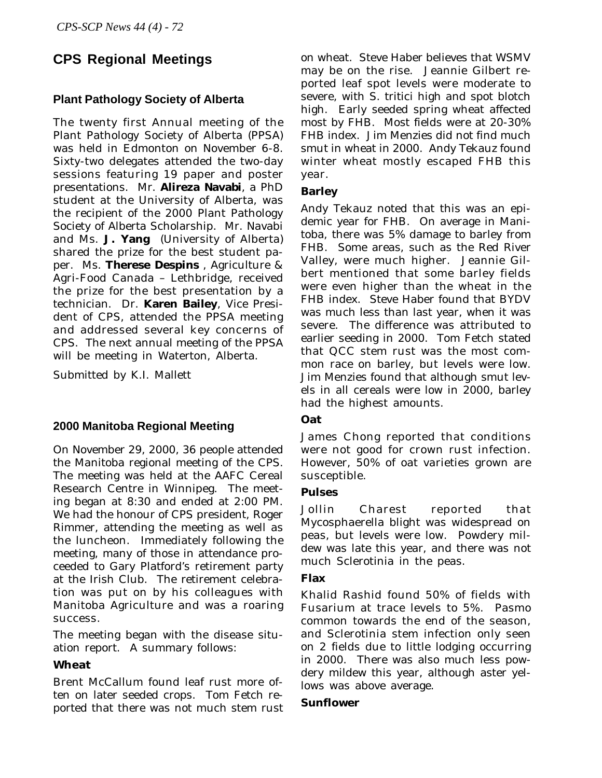## **CPS Regional Meetings**

## **Plant Pathology Society of Alberta**

The twenty first Annual meeting of the Plant Pathology Society of Alberta (PPSA) was held in Edmonton on November 6-8. Sixty-two delegates attended the two-day sessions featuring 19 paper and poster presentations. Mr. **Alireza Navabi**, a PhD student at the University of Alberta, was the recipient of the 2000 Plant Pathology Society of Alberta Scholarship. Mr. Navabi and Ms. **J. Yang** (University of Alberta) shared the prize for the best student paper. Ms. **Therese Despins** , Agriculture & Agri-Food Canada – Lethbridge, received the prize for the best presentation by a technician. Dr. **Karen Bailey**, Vice President of CPS, attended the PPSA meeting and addressed several key concerns of CPS. The next annual meeting of the PPSA will be meeting in Waterton, Alberta.

Submitted by K.I. Mallett

### **2000 Manitoba Regional Meeting**

On November 29, 2000, 36 people attended the Manitoba regional meeting of the CPS. The meeting was held at the AAFC Cereal Research Centre in Winnipeg. The meeting began at 8:30 and ended at 2:00 PM. We had the honour of CPS president, Roger Rimmer, attending the meeting as well as the luncheon. Immediately following the meeting, many of those in attendance proceeded to Gary Platford's retirement party at the Irish Club. The retirement celebration was put on by his colleagues with Manitoba Agriculture and was a roaring success.

The meeting began with the disease situation report. A summary follows:

### **Wheat**

Brent McCallum found leaf rust more often on later seeded crops. Tom Fetch reported that there was not much stem rust on wheat. Steve Haber believes that WSMV may be on the rise. Jeannie Gilbert reported leaf spot levels were moderate to severe, with S. tritici high and spot blotch high. Early seeded spring wheat affected most by FHB. Most fields were at 20-30% FHB index. Jim Menzies did not find much smut in wheat in 2000. Andy Tekauz found winter wheat mostly escaped FHB this year.

#### **Barley**

Andy Tekauz noted that this was an epidemic year for FHB. On average in Manitoba, there was 5% damage to barley from FHB. Some areas, such as the Red River Valley, were much higher. Jeannie Gilbert mentioned that some barley fields were even higher than the wheat in the FHB index. Steve Haber found that BYDV was much less than last year, when it was severe. The difference was attributed to earlier seeding in 2000. Tom Fetch stated that QCC stem rust was the most common race on barley, but levels were low. Jim Menzies found that although smut levels in all cereals were low in 2000, barley had the highest amounts.

### **Oat**

James Chong reported that conditions were not good for crown rust infection. However, 50% of oat varieties grown are susceptible.

### **Pulses**

Jollin Charest reported that Mycosphaerella blight was widespread on peas, but levels were low. Powdery mildew was late this year, and there was not much Sclerotinia in the peas.

### **Flax**

Khalid Rashid found 50% of fields with Fusarium at trace levels to 5%. Pasmo common towards the end of the season, and Sclerotinia stem infection only seen on 2 fields due to little lodging occurring in 2000. There was also much less powdery mildew this year, although aster yellows was above average.

#### **Sunflower**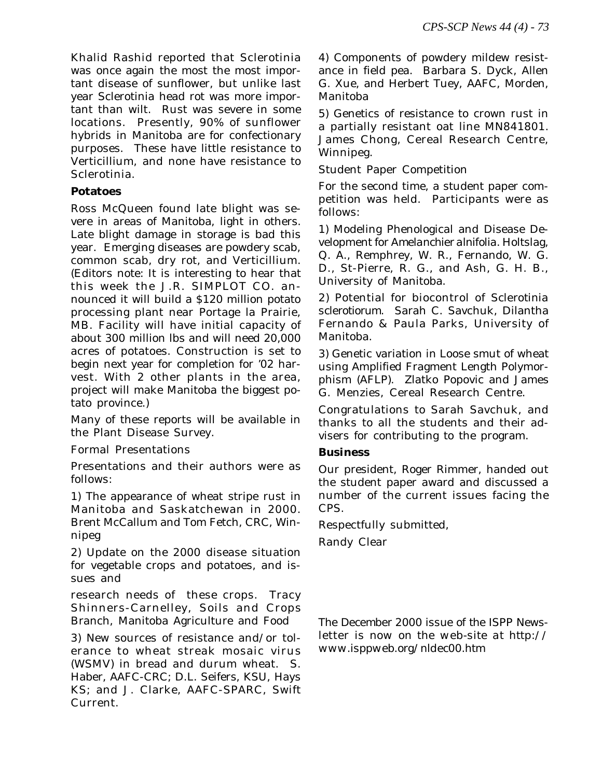Khalid Rashid reported that Sclerotinia was once again the most the most important disease of sunflower, but unlike last year Sclerotinia head rot was more important than wilt. Rust was severe in some locations. Presently, 90% of sunflower hybrids in Manitoba are for confectionary purposes. These have little resistance to Verticillium, and none have resistance to Sclerotinia.

#### **Potatoes**

Ross McQueen found late blight was severe in areas of Manitoba, light in others. Late blight damage in storage is bad this year. Emerging diseases are powdery scab, common scab, dry rot, and Verticillium. (Editors note: It is interesting to hear that this week the J.R. SIMPLOT CO. announced it will build a \$120 million potato processing plant near Portage la Prairie, MB. Facility will have initial capacity of about 300 million lbs and will need 20,000 acres of potatoes. Construction is set to begin next year for completion for '02 harvest. With 2 other plants in the area, project will make Manitoba the biggest potato province.)

Many of these reports will be available in the Plant Disease Survey.

Formal Presentations

Presentations and their authors were as follows:

1) The appearance of wheat stripe rust in Manitoba and Saskatchewan in 2000. Brent McCallum and Tom Fetch, CRC, Winnipeg

2) Update on the 2000 disease situation for vegetable crops and potatoes, and issues and

research needs of these crops. Tracy Shinners-Carnelley, Soils and Crops Branch, Manitoba Agriculture and Food

3) New sources of resistance and/or tolerance to wheat streak mosaic virus (WSMV) in bread and durum wheat. S. Haber, AAFC-CRC; D.L. Seifers, KSU, Hays KS; and J. Clarke, AAFC-SPARC, Swift Current.

4) Components of powdery mildew resistance in field pea. Barbara S. Dyck, Allen G. Xue, and Herbert Tuey, AAFC, Morden, Manitoba

5) Genetics of resistance to crown rust in a partially resistant oat line MN841801. James Chong, Cereal Research Centre, Winnipeg.

Student Paper Competition

For the second time, a student paper competition was held. Participants were as follows:

1) Modeling Phenological and Disease Development for *Amelanchier alnifolia.* Holtslag, Q. A., Remphrey, W. R., Fernando, W. G. D., St-Pierre, R. G., and Ash, G. H. B., University of Manitoba.

2) Potential for biocontrol of *Sclerotinia sclerotiorum*. Sarah C. Savchuk, Dilantha Fernando & Paula Parks, University of Manitoba.

3) Genetic variation in Loose smut of wheat using Amplified Fragment Length Polymorphism (AFLP). Zlatko Popovic and James G. Menzies, Cereal Research Centre.

Congratulations to Sarah Savchuk, and thanks to all the students and their advisers for contributing to the program.

### **Business**

Our president, Roger Rimmer, handed out the student paper award and discussed a number of the current issues facing the CPS.

Respectfully submitted,

Randy Clear

*The December 2000 issue of the I*SPP Newsletter *is now on the web-site at http:// www.isppweb.org/nldec00.htm*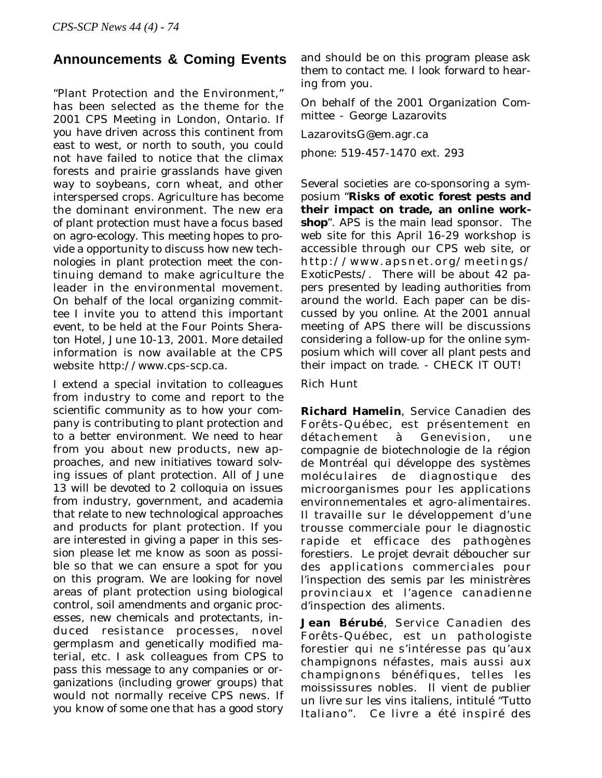## **Announcements & Coming Events**

"Plant Protection and the Environment," has been selected as the theme for the 2001 CPS Meeting in London, Ontario. If you have driven across this continent from east to west, or north to south, you could not have failed to notice that the climax forests and prairie grasslands have given way to soybeans, corn wheat, and other interspersed crops. Agriculture has become the dominant environment. The new era of plant protection must have a focus based on agro-ecology. This meeting hopes to provide a opportunity to discuss how new technologies in plant protection meet the continuing demand to make agriculture the leader in the environmental movement. On behalf of the local organizing committee I invite you to attend this important event, to be held at the Four Points Sheraton Hotel, June 10-13, 2001. More detailed information is now available at the CPS website http://www.cps-scp.ca.

I extend a special invitation to colleagues from industry to come and report to the scientific community as to how your company is contributing to plant protection and to a better environment. We need to hear from you about new products, new approaches, and new initiatives toward solving issues of plant protection. All of June 13 will be devoted to 2 colloquia on issues from industry, government, and academia that relate to new technological approaches and products for plant protection. If you are interested in giving a paper in this session please let me know as soon as possible so that we can ensure a spot for you on this program. We are looking for novel areas of plant protection using biological control, soil amendments and organic processes, new chemicals and protectants, induced resistance processes, novel germplasm and genetically modified material, etc. I ask colleagues from CPS to pass this message to any companies or organizations (including grower groups) that would not normally receive CPS news. If you know of some one that has a good story

and should be on this program please ask them to contact me. I look forward to hearing from you.

On behalf of the 2001 Organization Committee - George Lazarovits

LazarovitsG@em.agr.ca

phone: 519-457-1470 ext. 293

Several societies are co-sponsoring a symposium "**Risks of exotic forest pests and their impact on trade, an online workshop**". APS is the main lead sponsor. The web site for this April 16-29 workshop is accessible through our CPS web site, or http://www.apsnet.org/meetings/ ExoticPests/. There will be about 42 papers presented by leading authorities from around the world. Each paper can be discussed by you online. At the 2001 annual meeting of APS there will be discussions considering a follow-up for the online symposium which will cover all plant pests and their impact on trade. - CHECK IT OUT!

Rich Hunt

**Richard Hamelin**, Service Canadien des Forêts-Québec, est présentement en détachement à Genevision, une compagnie de biotechnologie de la région de Montréal qui développe des systèmes moléculaires de diagnostique des microorganismes pour les applications environnementales et agro-alimentaires. Il travaille sur le développement d'une trousse commerciale pour le diagnostic rapide et efficace des pathogènes forestiers. Le projet devrait déboucher sur des applications commerciales pour l'inspection des semis par les ministrères provinciaux et l'agence canadienne d'inspection des aliments.

**Jean Bérubé**, Service Canadien des Forêts-Québec, est un pathologiste forestier qui ne s'intéresse pas qu'aux champignons néfastes, mais aussi aux champignons bénéfiques, telles les moississures nobles. Il vient de publier un livre sur les vins italiens, intitulé "Tutto Italiano". Ce livre a été inspiré des